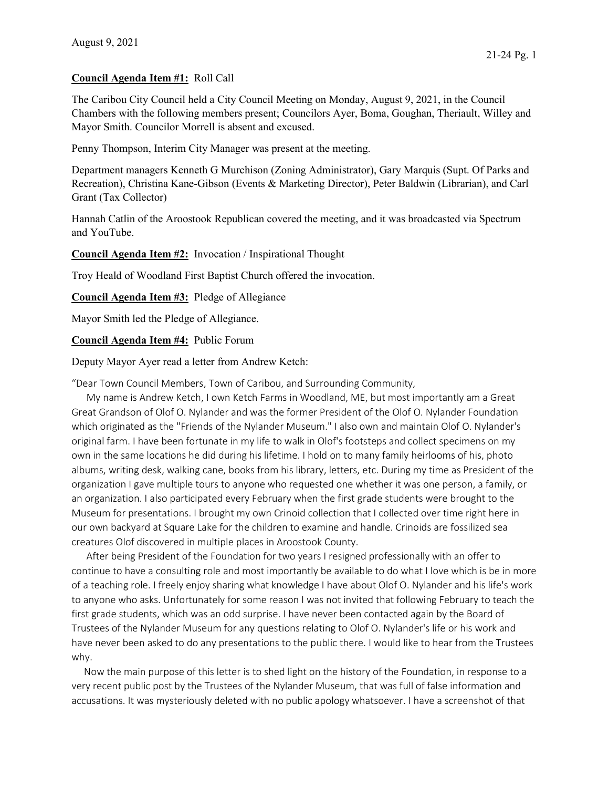## Council Agenda Item #1: Roll Call

The Caribou City Council held a City Council Meeting on Monday, August 9, 2021, in the Council Chambers with the following members present; Councilors Ayer, Boma, Goughan, Theriault, Willey and Mayor Smith. Councilor Morrell is absent and excused.

Penny Thompson, Interim City Manager was present at the meeting.

Department managers Kenneth G Murchison (Zoning Administrator), Gary Marquis (Supt. Of Parks and Recreation), Christina Kane-Gibson (Events & Marketing Director), Peter Baldwin (Librarian), and Carl Grant (Tax Collector)

Hannah Catlin of the Aroostook Republican covered the meeting, and it was broadcasted via Spectrum and YouTube.

Council Agenda Item #2: Invocation / Inspirational Thought

Troy Heald of Woodland First Baptist Church offered the invocation.

Council Agenda Item #3: Pledge of Allegiance

Mayor Smith led the Pledge of Allegiance.

Council Agenda Item #4: Public Forum

Deputy Mayor Ayer read a letter from Andrew Ketch:

"Dear Town Council Members, Town of Caribou, and Surrounding Community,

 My name is Andrew Ketch, I own Ketch Farms in Woodland, ME, but most importantly am a Great Great Grandson of Olof O. Nylander and was the former President of the Olof O. Nylander Foundation which originated as the "Friends of the Nylander Museum." I also own and maintain Olof O. Nylander's original farm. I have been fortunate in my life to walk in Olof's footsteps and collect specimens on my own in the same locations he did during his lifetime. I hold on to many family heirlooms of his, photo albums, writing desk, walking cane, books from his library, letters, etc. During my time as President of the organization I gave multiple tours to anyone who requested one whether it was one person, a family, or an organization. I also participated every February when the first grade students were brought to the Museum for presentations. I brought my own Crinoid collection that I collected over time right here in our own backyard at Square Lake for the children to examine and handle. Crinoids are fossilized sea creatures Olof discovered in multiple places in Aroostook County.

 After being President of the Foundation for two years I resigned professionally with an offer to continue to have a consulting role and most importantly be available to do what I love which is be in more of a teaching role. I freely enjoy sharing what knowledge I have about Olof O. Nylander and his life's work to anyone who asks. Unfortunately for some reason I was not invited that following February to teach the first grade students, which was an odd surprise. I have never been contacted again by the Board of Trustees of the Nylander Museum for any questions relating to Olof O. Nylander's life or his work and have never been asked to do any presentations to the public there. I would like to hear from the Trustees why.

 Now the main purpose of this letter is to shed light on the history of the Foundation, in response to a very recent public post by the Trustees of the Nylander Museum, that was full of false information and accusations. It was mysteriously deleted with no public apology whatsoever. I have a screenshot of that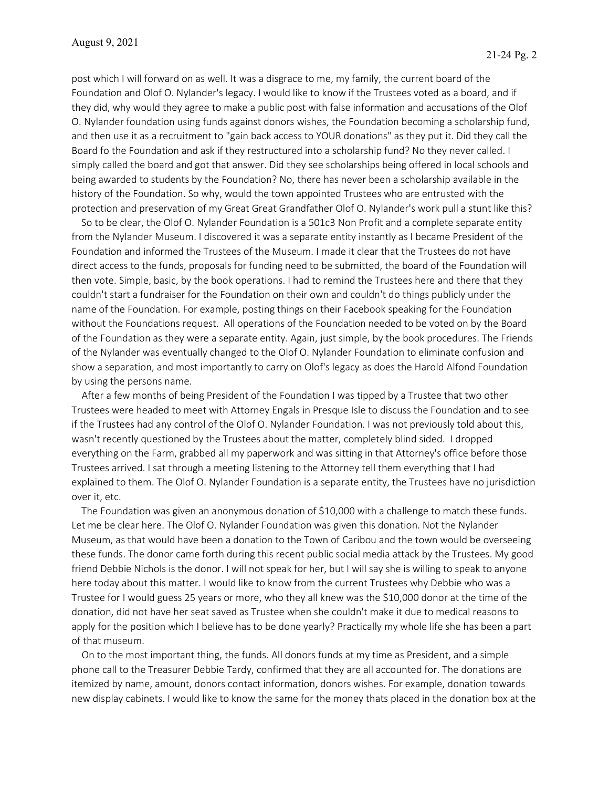post which I will forward on as well. It was a disgrace to me, my family, the current board of the Foundation and Olof O. Nylander's legacy. I would like to know if the Trustees voted as a board, and if they did, why would they agree to make a public post with false information and accusations of the Olof O. Nylander foundation using funds against donors wishes, the Foundation becoming a scholarship fund, and then use it as a recruitment to "gain back access to YOUR donations" as they put it. Did they call the Board fo the Foundation and ask if they restructured into a scholarship fund? No they never called. I simply called the board and got that answer. Did they see scholarships being offered in local schools and being awarded to students by the Foundation? No, there has never been a scholarship available in the history of the Foundation. So why, would the town appointed Trustees who are entrusted with the protection and preservation of my Great Great Grandfather Olof O. Nylander's work pull a stunt like this?

 So to be clear, the Olof O. Nylander Foundation is a 501c3 Non Profit and a complete separate entity from the Nylander Museum. I discovered it was a separate entity instantly as I became President of the Foundation and informed the Trustees of the Museum. I made it clear that the Trustees do not have direct access to the funds, proposals for funding need to be submitted, the board of the Foundation will then vote. Simple, basic, by the book operations. I had to remind the Trustees here and there that they couldn't start a fundraiser for the Foundation on their own and couldn't do things publicly under the name of the Foundation. For example, posting things on their Facebook speaking for the Foundation without the Foundations request. All operations of the Foundation needed to be voted on by the Board of the Foundation as they were a separate entity. Again, just simple, by the book procedures. The Friends of the Nylander was eventually changed to the Olof O. Nylander Foundation to eliminate confusion and show a separation, and most importantly to carry on Olof's legacy as does the Harold Alfond Foundation by using the persons name.

 After a few months of being President of the Foundation I was tipped by a Trustee that two other Trustees were headed to meet with Attorney Engals in Presque Isle to discuss the Foundation and to see if the Trustees had any control of the Olof O. Nylander Foundation. I was not previously told about this, wasn't recently questioned by the Trustees about the matter, completely blind sided. I dropped everything on the Farm, grabbed all my paperwork and was sitting in that Attorney's office before those Trustees arrived. I sat through a meeting listening to the Attorney tell them everything that I had explained to them. The Olof O. Nylander Foundation is a separate entity, the Trustees have no jurisdiction over it, etc.

 The Foundation was given an anonymous donation of \$10,000 with a challenge to match these funds. Let me be clear here. The Olof O. Nylander Foundation was given this donation. Not the Nylander Museum, as that would have been a donation to the Town of Caribou and the town would be overseeing these funds. The donor came forth during this recent public social media attack by the Trustees. My good friend Debbie Nichols is the donor. I will not speak for her, but I will say she is willing to speak to anyone here today about this matter. I would like to know from the current Trustees why Debbie who was a Trustee for I would guess 25 years or more, who they all knew was the \$10,000 donor at the time of the donation, did not have her seat saved as Trustee when she couldn't make it due to medical reasons to apply for the position which I believe has to be done yearly? Practically my whole life she has been a part of that museum.

 On to the most important thing, the funds. All donors funds at my time as President, and a simple phone call to the Treasurer Debbie Tardy, confirmed that they are all accounted for. The donations are itemized by name, amount, donors contact information, donors wishes. For example, donation towards new display cabinets. I would like to know the same for the money thats placed in the donation box at the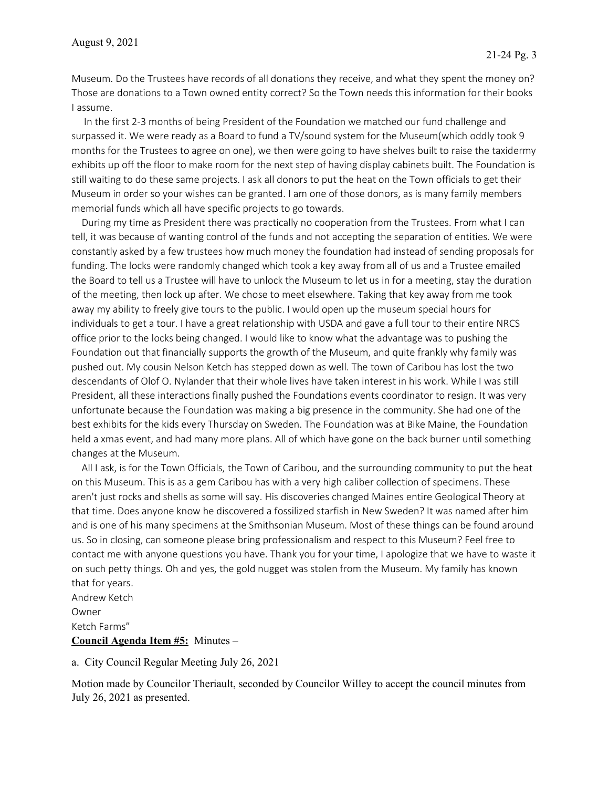Museum. Do the Trustees have records of all donations they receive, and what they spent the money on? Those are donations to a Town owned entity correct? So the Town needs this information for their books I assume.

 In the first 2-3 months of being President of the Foundation we matched our fund challenge and surpassed it. We were ready as a Board to fund a TV/sound system for the Museum(which oddly took 9 months for the Trustees to agree on one), we then were going to have shelves built to raise the taxidermy exhibits up off the floor to make room for the next step of having display cabinets built. The Foundation is still waiting to do these same projects. I ask all donors to put the heat on the Town officials to get their Museum in order so your wishes can be granted. I am one of those donors, as is many family members memorial funds which all have specific projects to go towards.

 During my time as President there was practically no cooperation from the Trustees. From what I can tell, it was because of wanting control of the funds and not accepting the separation of entities. We were constantly asked by a few trustees how much money the foundation had instead of sending proposals for funding. The locks were randomly changed which took a key away from all of us and a Trustee emailed the Board to tell us a Trustee will have to unlock the Museum to let us in for a meeting, stay the duration of the meeting, then lock up after. We chose to meet elsewhere. Taking that key away from me took away my ability to freely give tours to the public. I would open up the museum special hours for individuals to get a tour. I have a great relationship with USDA and gave a full tour to their entire NRCS office prior to the locks being changed. I would like to know what the advantage was to pushing the Foundation out that financially supports the growth of the Museum, and quite frankly why family was pushed out. My cousin Nelson Ketch has stepped down as well. The town of Caribou has lost the two descendants of Olof O. Nylander that their whole lives have taken interest in his work. While I was still President, all these interactions finally pushed the Foundations events coordinator to resign. It was very unfortunate because the Foundation was making a big presence in the community. She had one of the best exhibits for the kids every Thursday on Sweden. The Foundation was at Bike Maine, the Foundation held a xmas event, and had many more plans. All of which have gone on the back burner until something changes at the Museum.

 All I ask, is for the Town Officials, the Town of Caribou, and the surrounding community to put the heat on this Museum. This is as a gem Caribou has with a very high caliber collection of specimens. These aren't just rocks and shells as some will say. His discoveries changed Maines entire Geological Theory at that time. Does anyone know he discovered a fossilized starfish in New Sweden? It was named after him and is one of his many specimens at the Smithsonian Museum. Most of these things can be found around us. So in closing, can someone please bring professionalism and respect to this Museum? Feel free to contact me with anyone questions you have. Thank you for your time, I apologize that we have to waste it on such petty things. Oh and yes, the gold nugget was stolen from the Museum. My family has known that for years.

Andrew Ketch Owner Ketch Farms" Council Agenda Item #5: Minutes –

a. City Council Regular Meeting July 26, 2021

Motion made by Councilor Theriault, seconded by Councilor Willey to accept the council minutes from July 26, 2021 as presented.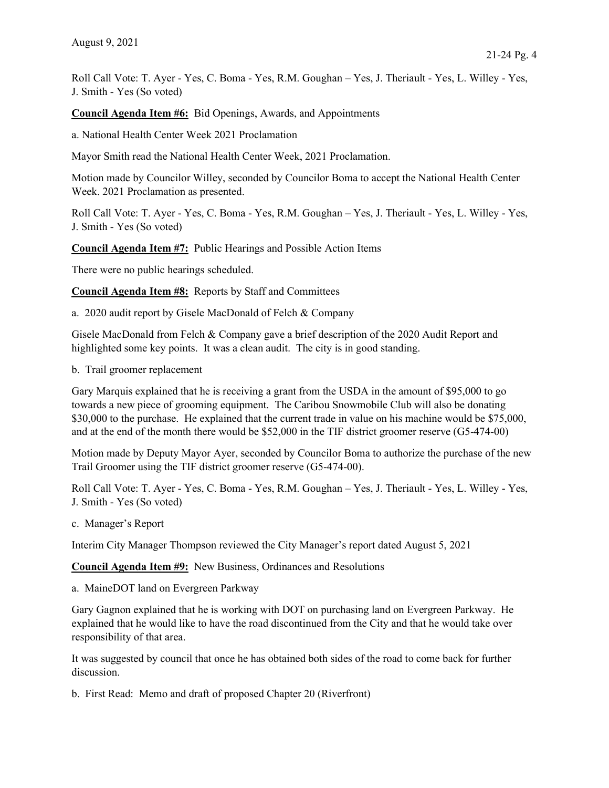Roll Call Vote: T. Ayer - Yes, C. Boma - Yes, R.M. Goughan – Yes, J. Theriault - Yes, L. Willey - Yes, J. Smith - Yes (So voted)

Council Agenda Item #6: Bid Openings, Awards, and Appointments

a. National Health Center Week 2021 Proclamation

Mayor Smith read the National Health Center Week, 2021 Proclamation.

Motion made by Councilor Willey, seconded by Councilor Boma to accept the National Health Center Week. 2021 Proclamation as presented.

Roll Call Vote: T. Ayer - Yes, C. Boma - Yes, R.M. Goughan – Yes, J. Theriault - Yes, L. Willey - Yes, J. Smith - Yes (So voted)

Council Agenda Item #7: Public Hearings and Possible Action Items

There were no public hearings scheduled.

Council Agenda Item #8: Reports by Staff and Committees

a. 2020 audit report by Gisele MacDonald of Felch & Company

Gisele MacDonald from Felch & Company gave a brief description of the 2020 Audit Report and highlighted some key points. It was a clean audit. The city is in good standing.

b. Trail groomer replacement

Gary Marquis explained that he is receiving a grant from the USDA in the amount of \$95,000 to go towards a new piece of grooming equipment. The Caribou Snowmobile Club will also be donating \$30,000 to the purchase. He explained that the current trade in value on his machine would be \$75,000, and at the end of the month there would be \$52,000 in the TIF district groomer reserve (G5-474-00)

Motion made by Deputy Mayor Ayer, seconded by Councilor Boma to authorize the purchase of the new Trail Groomer using the TIF district groomer reserve (G5-474-00).

Roll Call Vote: T. Ayer - Yes, C. Boma - Yes, R.M. Goughan – Yes, J. Theriault - Yes, L. Willey - Yes, J. Smith - Yes (So voted)

c. Manager's Report

Interim City Manager Thompson reviewed the City Manager's report dated August 5, 2021

Council Agenda Item #9: New Business, Ordinances and Resolutions

a. MaineDOT land on Evergreen Parkway

Gary Gagnon explained that he is working with DOT on purchasing land on Evergreen Parkway. He explained that he would like to have the road discontinued from the City and that he would take over responsibility of that area.

It was suggested by council that once he has obtained both sides of the road to come back for further discussion.

b. First Read: Memo and draft of proposed Chapter 20 (Riverfront)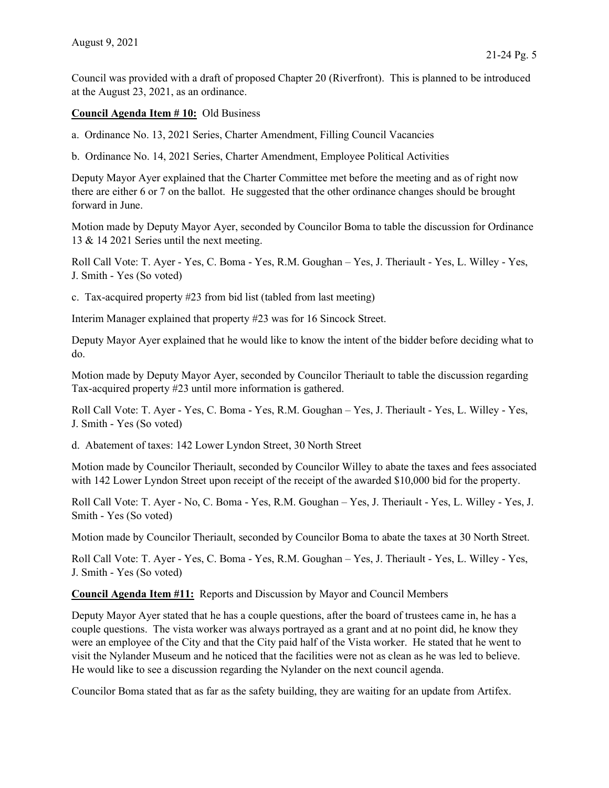Council was provided with a draft of proposed Chapter 20 (Riverfront). This is planned to be introduced at the August 23, 2021, as an ordinance.

## Council Agenda Item # 10: Old Business

a. Ordinance No. 13, 2021 Series, Charter Amendment, Filling Council Vacancies

b. Ordinance No. 14, 2021 Series, Charter Amendment, Employee Political Activities

Deputy Mayor Ayer explained that the Charter Committee met before the meeting and as of right now there are either 6 or 7 on the ballot. He suggested that the other ordinance changes should be brought forward in June.

Motion made by Deputy Mayor Ayer, seconded by Councilor Boma to table the discussion for Ordinance 13 & 14 2021 Series until the next meeting.

Roll Call Vote: T. Ayer - Yes, C. Boma - Yes, R.M. Goughan – Yes, J. Theriault - Yes, L. Willey - Yes, J. Smith - Yes (So voted)

c. Tax-acquired property #23 from bid list (tabled from last meeting)

Interim Manager explained that property #23 was for 16 Sincock Street.

Deputy Mayor Ayer explained that he would like to know the intent of the bidder before deciding what to do.

Motion made by Deputy Mayor Ayer, seconded by Councilor Theriault to table the discussion regarding Tax-acquired property #23 until more information is gathered.

Roll Call Vote: T. Ayer - Yes, C. Boma - Yes, R.M. Goughan – Yes, J. Theriault - Yes, L. Willey - Yes, J. Smith - Yes (So voted)

d. Abatement of taxes: 142 Lower Lyndon Street, 30 North Street

Motion made by Councilor Theriault, seconded by Councilor Willey to abate the taxes and fees associated with 142 Lower Lyndon Street upon receipt of the receipt of the awarded \$10,000 bid for the property.

Roll Call Vote: T. Ayer - No, C. Boma - Yes, R.M. Goughan – Yes, J. Theriault - Yes, L. Willey - Yes, J. Smith - Yes (So voted)

Motion made by Councilor Theriault, seconded by Councilor Boma to abate the taxes at 30 North Street.

Roll Call Vote: T. Ayer - Yes, C. Boma - Yes, R.M. Goughan – Yes, J. Theriault - Yes, L. Willey - Yes, J. Smith - Yes (So voted)

Council Agenda Item #11: Reports and Discussion by Mayor and Council Members

Deputy Mayor Ayer stated that he has a couple questions, after the board of trustees came in, he has a couple questions. The vista worker was always portrayed as a grant and at no point did, he know they were an employee of the City and that the City paid half of the Vista worker. He stated that he went to visit the Nylander Museum and he noticed that the facilities were not as clean as he was led to believe. He would like to see a discussion regarding the Nylander on the next council agenda.

Councilor Boma stated that as far as the safety building, they are waiting for an update from Artifex.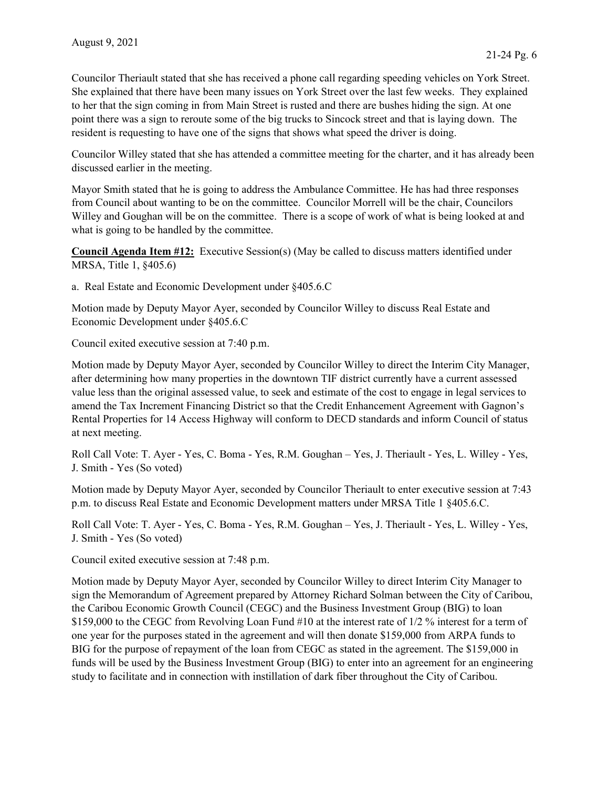Councilor Theriault stated that she has received a phone call regarding speeding vehicles on York Street. She explained that there have been many issues on York Street over the last few weeks. They explained to her that the sign coming in from Main Street is rusted and there are bushes hiding the sign. At one point there was a sign to reroute some of the big trucks to Sincock street and that is laying down. The resident is requesting to have one of the signs that shows what speed the driver is doing.

Councilor Willey stated that she has attended a committee meeting for the charter, and it has already been discussed earlier in the meeting.

Mayor Smith stated that he is going to address the Ambulance Committee. He has had three responses from Council about wanting to be on the committee. Councilor Morrell will be the chair, Councilors Willey and Goughan will be on the committee. There is a scope of work of what is being looked at and what is going to be handled by the committee.

Council Agenda Item #12: Executive Session(s) (May be called to discuss matters identified under MRSA, Title 1, §405.6)

a. Real Estate and Economic Development under §405.6.C

Motion made by Deputy Mayor Ayer, seconded by Councilor Willey to discuss Real Estate and Economic Development under §405.6.C

Council exited executive session at 7:40 p.m.

Motion made by Deputy Mayor Ayer, seconded by Councilor Willey to direct the Interim City Manager, after determining how many properties in the downtown TIF district currently have a current assessed value less than the original assessed value, to seek and estimate of the cost to engage in legal services to amend the Tax Increment Financing District so that the Credit Enhancement Agreement with Gagnon's Rental Properties for 14 Access Highway will conform to DECD standards and inform Council of status at next meeting.

Roll Call Vote: T. Ayer - Yes, C. Boma - Yes, R.M. Goughan – Yes, J. Theriault - Yes, L. Willey - Yes, J. Smith - Yes (So voted)

Motion made by Deputy Mayor Ayer, seconded by Councilor Theriault to enter executive session at 7:43 p.m. to discuss Real Estate and Economic Development matters under MRSA Title 1 §405.6.C.

Roll Call Vote: T. Ayer - Yes, C. Boma - Yes, R.M. Goughan – Yes, J. Theriault - Yes, L. Willey - Yes, J. Smith - Yes (So voted)

Council exited executive session at 7:48 p.m.

Motion made by Deputy Mayor Ayer, seconded by Councilor Willey to direct Interim City Manager to sign the Memorandum of Agreement prepared by Attorney Richard Solman between the City of Caribou, the Caribou Economic Growth Council (CEGC) and the Business Investment Group (BIG) to loan \$159,000 to the CEGC from Revolving Loan Fund #10 at the interest rate of 1/2 % interest for a term of one year for the purposes stated in the agreement and will then donate \$159,000 from ARPA funds to BIG for the purpose of repayment of the loan from CEGC as stated in the agreement. The \$159,000 in funds will be used by the Business Investment Group (BIG) to enter into an agreement for an engineering study to facilitate and in connection with instillation of dark fiber throughout the City of Caribou.